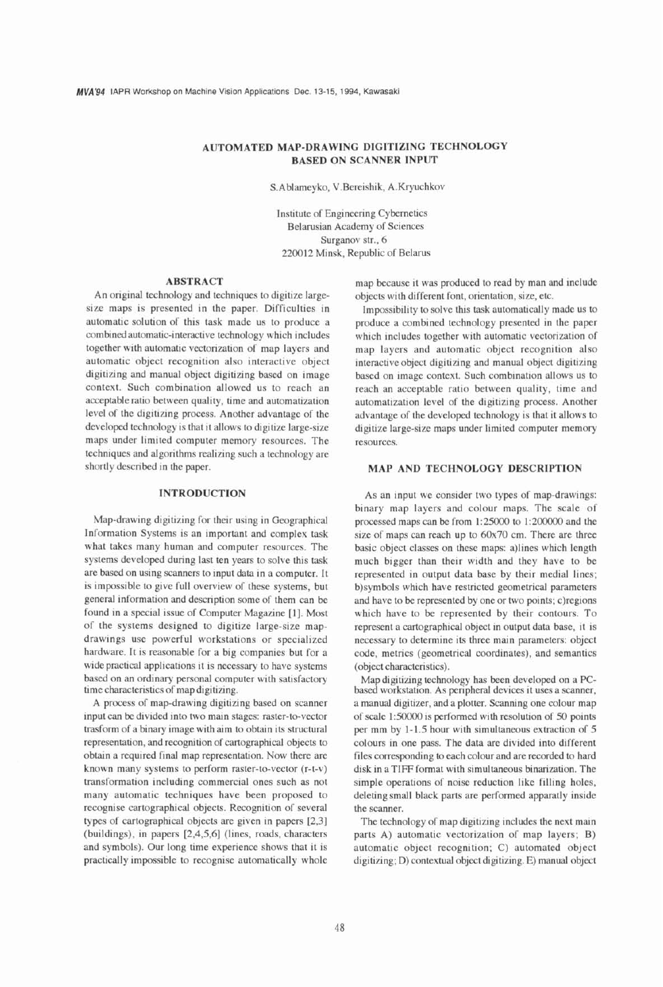# **AUTOMATED MAP-DRAWING DIGITIZING TECHNOLOGY BASED ON SCANNER INPUT**

S.Ablameyko, V.Bereishik, A.Kryuchkov

Institute of Engineering Cybernetics Belarusian Academy of Sciences Surganov str., 6 220012 Minsk, Republic of Belarus

# **ABSTRACT**

An original technology and techniques to digitize largesize maps is presented in the paper. Difficulties in automatic solution of this task made us to produce a combined automatic-interactive technology which includes together with automatic vectorization of map layers and automatic object recognition also interactive object digitizing and manual object digitizing based on image context. Such combination allowed us to reach an acceptable ratio between quality, time and automatization level of the digitizing process. Another advantage of the developed technology is that it allows to digitize large-sizc maps under limited computer memory resources. The techniques and algorithms realizing such a technology are shortly described in the paper.

#### **INTRODUCTION**

Map-drawing digitizing for their using in Geographical Information Systems is an important and complex task what takes many human and computer resources. The systems developed during last ten years to solve this task are based on using scanners to input data in a computer. It is impossible to give full overview of these systems, but general information and description some of them can be found in a special issue of Computer Magazine [I]. Most of the systems designed to digitize large-size mapdrawings use powerful workstations or specialized hardware. It is reasonable for a big companies but for a wide practical applications it is necessary to have systems based on an ordinary personal computer with satisfactory time characteristics of map digitizing.

A process of map-drawing digitizing based on scanner input can be divided into two main stages: raster-to-vector trasform of a binary image with aim to obtain its structural representation, and recognition of cartographical objects to obtain a required final map representation. Now there are known many systems to perform raster-to-vector (r-t-v) transformation including commercial ones such as not many automatic techniques have been proposed to recognise cartographical objects. Recognition of several types of cartographical objects are given in papers [2,3] (buildings), in papers **[2,4,5,6]** (lines, roads, characters and symbols). Our long time experience shows that it is practically impossible to recognise automatically whole

map because it was produced to read by man and include objects with different font, orientation, size, etc.

Impossibility to solve this task automatically made us to produce a combined technology presented in the paper which includes together with automatic vectorization of map layers and automatic object recognition also interactive object digitizing and manual object digitizing based on image context. Such combination allows us to reach an acceptable ratio between quality, time and automatization level of the digitizing process. Another advantage of the developed technology is that it allows to digitize large-size maps under limited computer memory resources.

# **MAP AND TECHNOLOGY DESCRIPTION**

As an input we consider two types of map-drawings: binary map layers and colour maps. The scale of processed maps can be from 1:25000 to 1:200000 and the size of maps can reach up to 60x70 cm. There are three basic object classes on these maps: a)lines which length much bigger than their width and they have to be represented in output data base by their medial lines; b)symbols which have restricted geometrical parameters and have to be represented by one or two points; c)regions which have to be represented by their contours. To represent a cartographical object in output data base, it is necessary to determine its three main parameters: object code, metrics (geometrical coordinates), and semantics (object characteristics).

Map digitizing technology has been developed on a **PC**based workstation. As peripheral devices it uses a scanner, a manual digitizer, and a plotter. Scanning one colour map of scale 1:50000 is performed with resolution of 50 points per mm by 1-1.5 hour with simultaneous extraction of 5 colours in one pass. The data are divided into different files corresponding to each colour and are recorded to hard disk in a TIFF format with simultaneous binarization. The simple operations of noise reduction like filling holes, deleting small black parts are performed apparatly inside the scanner.

The technology of map digitizing includes the next main parts A) automatic vectorization of map layers; B) automatic object recognition; C) automated object digitizing; D) contextual object digitizing. E) manual object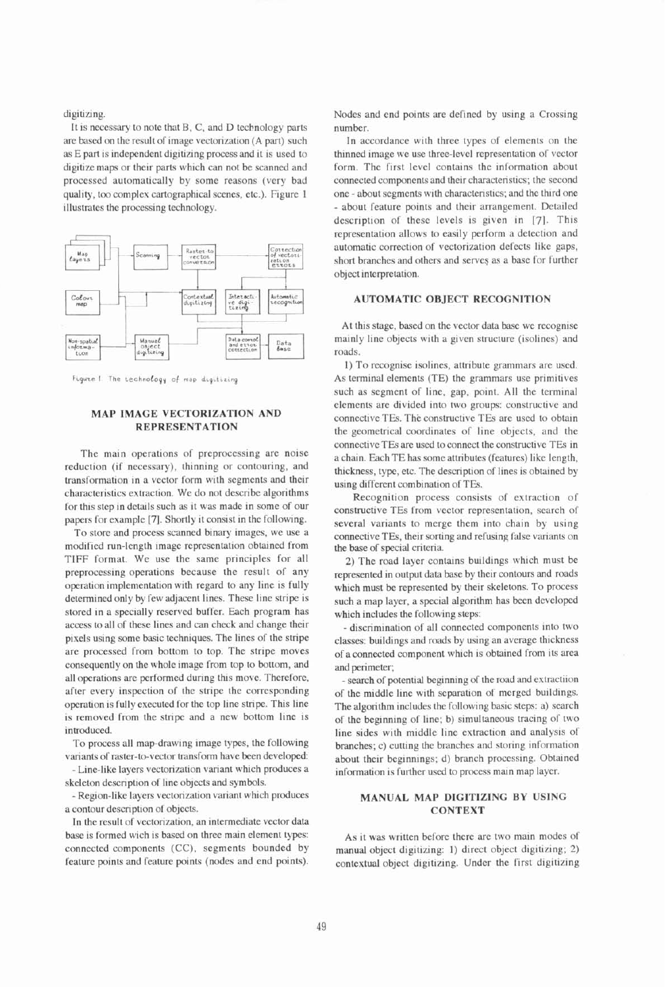digitizing.

It is necessary to note that B, C, and D technology parts are based on the result of image vectorization (A part) such as E part is independent digitizing process and it is used to digitizc maps or their parts which can not be scanned and processcd automatically by some reasons (very bad quality, too complex cartographical scenes, etc.). Figure 1 illustrates the processing technology.



Figuze 1 The technology of map digitizing

# **MAP IMAGE VECTORIZATION AND REPRESENTATION**

The main operations of preprocessing are noise reduction (if necessary), thinning or contouring, and transformation in a vector form with segments and their characteristics extraction. We do not describe algorithms for this step in details such as it was made in some of our papers for example [7]. Shortly it consist in the following.

To store and process scanned binary images, we use a modified run-length image representation obtained from TIFF format. Wc use the same principles for all preprocessing operations because the result of any operation implementation with regard to any line is fully determined only by few adjacent lines. These line stripe is stored in a specially reserved buffer. Each program has access to all of these lines and **can** check and change their pixels using some basic techniques. The lines of the stripe are processed from bottom to top. The stripe moves consequently on the whole image from top to bottom, and all operations are performed during this move. Therefore, after every inspection of the stripe the corresponding operation is fully executed for the top line stripe. This line is removed from the stripe and a new bottom line is introduced.

To process all map-drawing image types, the following variants of raster-to-vector transform have been developed:

- Line-like layers vectorization variant which produces a skeleton description of line objects and symbols.

- Region-like layers vectorization variant which produces a contour description of objccts.

In the result of vectorization, an intermediate vector data base is formed wich is based on three main element types: connected components (CC), segments bounded by feature points and feature points (nodes and end points). Nodes and end points are defined by using a Crossing number.

In accordance with three types of elements on the thinned image we use three-level representation of vector form. The first level contains the information about connected components and their characteristics; the second one - about segments with characteristics; and the third one - about feature points and their arrangement. Detailed description of these levels is given in [7]. This representation allows to easily perform a detection and automatic correction of vectorization defects like gaps, short branches and others and serves as a base for further object interpretation.

### **AUTOMATIC OBJECT RECOGNITION**

At this stage, based on the vector data base we recognise mainly line objects with a given structure (isolines) and roads.

1) To recognise isolines, attribute grammars are used. As terminal elements (TE) the grammars use primitives such as segment of line, gap, point. All the terminal elcments are divided into two groups: constructive and connective TEs. The constructive TEs arc used to obtain the geometrical coordinates of line objects, and the connective TEs are used to connect the constructive TEs in a chain. Each TE has some attributes (features) likc length, thickness, type, etc. The description of lines is obtained by using different combination of TEs.

Recognition process consists of extraction of constructive TEs from vector representation, search of several variants to merge them into chain by using connective TEs, their sorting and refusing false variants on the base of special criteria.

2) The road layer contains buildings which must be represented in output data base by their contours and roads which must be represented by their skeletons. To process such a map layer, a special algorithm has been developed which includes the following steps:

discrimination of all connected components into two classes: buildings and roads by using an average thickness of aconnected component which is obtained from its area and perimeter;

- search of potential beginning of the road and extractiion of the middle line with separation of merged buildings. The algorithm includes the following basic steps: a) search of the beginning of line; b) simultaneous tracing of two line sides with middle line extraction and analysis of branches; c) cutting the branches and storing information about their beginnings; d) branch processing. Obtained information is further used to process main map layer.

# **MANUAL MAP DIGITIZING BY USING CONTEXT**

As it was written before there are two main modcs of manual object digitizing: 1) direct object digitizing; 2) contextual object digitizing. Under the first digitizing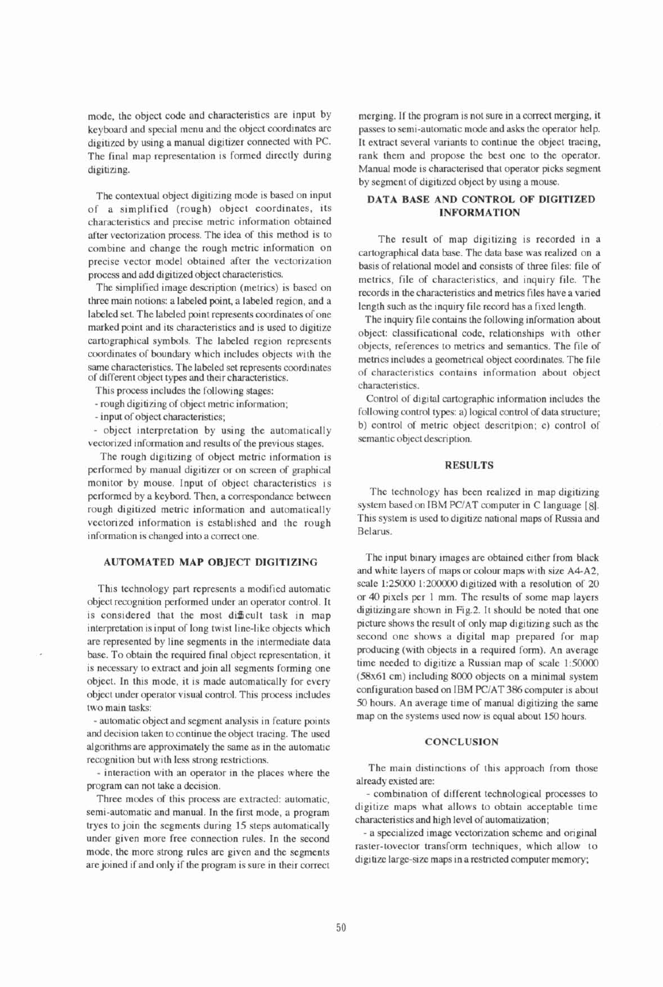mode, the object code and characteristics are input by keyboard and special menu and the object coordinates are digitized by using a manual digitizer connected with PC. The final map representation is formed directly during digitizing.

The contextual object digitizing mode is based on input of a simplified (rough) object coordinates, its characteristics and precise metric information obtained after vectorization process. The idea of this method is to combine and change the rough metric information on precise vector model obtained after the vectorization process and add digitized object characteristics.

The simplified image description (metrics) is based on three main notions: a labeled point, a labeled region, and a labeled set. The labeled point represents coordinates of one marked point and its characteristics and is used to digitize cartographical symbols. The labeled region represents coordinates of boundary which includes objects with the same characteristics. The labeled set represents coordinates of different object types and their characteristics.

This process includes the following stages:

- rough digitizing of object metric information;

- input of object characteristics;

- object interpretation by using the automatically vectorized information and results of the previous stages.

The rough digitizing of object metric information is performed by manual digitizer or on screen of graphical monitor by mouse. Input of object characteristics is performed by a keybord. Then, a correspondance between rough digitized metric information and automatically vectorized information is established and the rough information is changed into a correct one.

#### **AUTOMATED MAP OBJECT DIGITIZING**

This technology part represents a modified automatic object recognition performed under an operator control. It is considered that the most difficult task in map interpretation is input of long twist line-like objects which are represented by line segments in the intermediate data base. To obtain the required final object representation, it is necessary to extract and join all segments forming one object. In this mode, it is made automatically for every object under operator visual control. This process includes two main tasks:

- automatic object and segment analysis in feature points and decision taken to continue the object tracing. The used algorithms are approximately the same as in the automatic recognition but with less strong restrictions.

- interaction with an operator in the places where the program can not take a decision.

Three modes of this process are extracted: automatic, semi-automatic and manual. In the first mode, a program tryes to join the segments during 15 steps automatically under given more free connection rules. In the second mode, the more strong rules are given and the segments are joined if and only if the program is sure in their correct merging. If the program is not sure in a correct merging, it passes to semi-automatic mode and asks the operator help. It extract several variants to continue the object tracing, rank them and propose the best one to the operator. Manual mode is characterised that operator picks segment by segment of digitized object by using a mouse.

# **DATA BASE AND CONTROL OF DIGITIZED INFORMATION**

The result of map digitizing is recorded in a cartographical data base. The data base was realized on a basis of relational model and consists of three files: file of metrics, file of characteristics, and inquiry file. The records in the characteristics and metrics files have a varied length such as the inquiry file record has a fixed length.

The inquiry file contains the following information about object: classificational code, relationships with other objects, references to metrics and semantics. The file of metrics includes a geometrical object coordinates. The file of characteristics contains information about object characteristics.

Control of digital cartographic information includes the following control types: a) logical control of data structure; b) control of metric object descritpion; c) control of semantic object description.

### **RESULTS**

The technology has been realized in map digitizing system based on IBM PCIAT computer in C language **[81.**  This system is used to digitize national maps of Russia and Belarus.

The input binary images are obtained either from black and white layers of maps or colour maps with size A4-A2, scale 1:25000 1:200000 digitized with a resolution of 20 or 40 pixels per 1 mm. The results of some map layers digitizingare shown in Fig.2. It should be noted that one picture shows the result of only map digitizing such as the second one shows a digital map prepared for map producing (with objects in a required form). An average time needed to digitize a Russian map of scale 1:50000 (58x61 cm) including 8000 objects on a minimal system configuration based on IBM PCIAT **386** computer is about **50** hours. An average time of manual digitizing the same map on the systems used now is equal about 150 hours.

### **CONCLUSION**

The main distinctions of this approach from those already existed are:

- combination of different technological processes to digitize maps what allows to obtain acceptable time characteristics and high level of automatization;

- a specialized image vectorization scheme and original raster-tovector transform techniques, which allow to digitize large-size maps in a restricted computer memory;